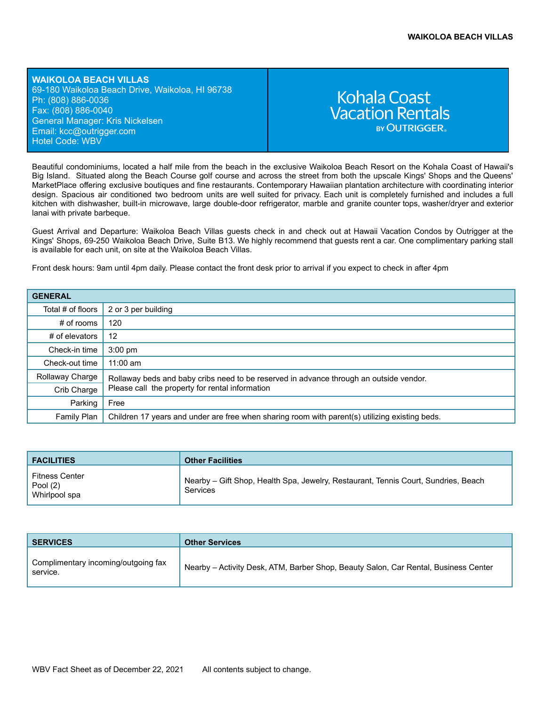**WAIKOLOA BEACH VILLAS** 69-180 Waikoloa Beach Drive, Waikoloa, HI 96738 Ph: (808) 886-0036 Fax: (808) 886-0040 General Manager: Kris Nickelsen Email: kcc[@outrigger.com](mailto:orf@outrigger.com) Hotel Code: WBV

# **Kohala Coast Vacation Rentals BY OUTRIGGER**

Beautiful condominiums, located a half mile from the beach in the exclusive Waikoloa Beach Resort on the Kohala Coast of Hawaii's Big Island. Situated along the Beach Course golf course and across the street from both the upscale Kings' Shops and the Queens' MarketPlace offering exclusive boutiques and fine restaurants. Contemporary Hawaiian plantation architecture with coordinating interior design. Spacious air conditioned two bedroom units are well suited for privacy. Each unit is completely furnished and includes a full kitchen with dishwasher, built-in microwave, large double-door refrigerator, marble and granite counter tops, washer/dryer and exterior lanai with private barbeque.

Guest Arrival and Departure: Waikoloa Beach Villas guests check in and check out at Hawaii Vacation Condos by Outrigger at the Kings' Shops, 69-250 Waikoloa Beach Drive, Suite B13. We highly recommend that guests rent a car. One complimentary parking stall is available for each unit, on site at the Waikoloa Beach Villas.

Front desk hours: 9am until 4pm daily. Please contact the front desk prior to arrival if you expect to check in after 4pm

| <b>GENERAL</b>    |                                                                                                                                           |  |
|-------------------|-------------------------------------------------------------------------------------------------------------------------------------------|--|
| Total # of floors | 2 or 3 per building                                                                                                                       |  |
| $#$ of rooms      | 120                                                                                                                                       |  |
| # of elevators    | 12                                                                                                                                        |  |
| Check-in time     | $3:00$ pm                                                                                                                                 |  |
| Check-out time    | $11:00$ am                                                                                                                                |  |
| Rollaway Charge   | Rollaway beds and baby cribs need to be reserved in advance through an outside vendor.<br>Please call the property for rental information |  |
| Crib Charge       |                                                                                                                                           |  |
| Parking           | Free                                                                                                                                      |  |
| Family Plan       | Children 17 years and under are free when sharing room with parent(s) utilizing existing beds.                                            |  |

| <b>FACILITIES</b>                           | <b>Other Facilities</b>                                                                        |
|---------------------------------------------|------------------------------------------------------------------------------------------------|
| Fitness Center<br>Pool (2)<br>Whirlpool spa | Nearby – Gift Shop, Health Spa, Jewelry, Restaurant, Tennis Court, Sundries, Beach<br>Services |

| <b>SERVICES</b>                                 | <b>Other Services</b>                                                               |
|-------------------------------------------------|-------------------------------------------------------------------------------------|
| Complimentary incoming/outgoing fax<br>service. | Nearby - Activity Desk, ATM, Barber Shop, Beauty Salon, Car Rental, Business Center |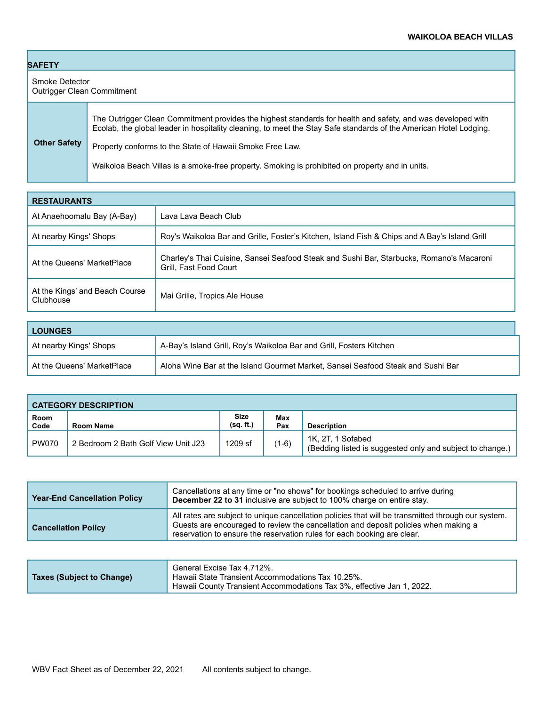| <b>SAFETY</b>                                       |                                                                                                                                                                                                                                                                                              |  |
|-----------------------------------------------------|----------------------------------------------------------------------------------------------------------------------------------------------------------------------------------------------------------------------------------------------------------------------------------------------|--|
| Smoke Detector<br><b>Outrigger Clean Commitment</b> |                                                                                                                                                                                                                                                                                              |  |
| <b>Other Safety</b>                                 | The Outrigger Clean Commitment provides the highest standards for health and safety, and was developed with<br>Ecolab, the global leader in hospitality cleaning, to meet the Stay Safe standards of the American Hotel Lodging.<br>Property conforms to the State of Hawaii Smoke Free Law. |  |
|                                                     | Waikoloa Beach Villas is a smoke-free property. Smoking is prohibited on property and in units.                                                                                                                                                                                              |  |

| <b>RESTAURANTS</b>                          |                                                                                                                    |  |
|---------------------------------------------|--------------------------------------------------------------------------------------------------------------------|--|
| At Anaehoomalu Bay (A-Bay)                  | Lava Lava Beach Club                                                                                               |  |
| At nearby Kings' Shops                      | Roy's Waikoloa Bar and Grille, Foster's Kitchen, Island Fish & Chips and A Bay's Island Grill                      |  |
| At the Queens' MarketPlace                  | Charley's Thai Cuisine, Sansei Seafood Steak and Sushi Bar, Starbucks, Romano's Macaroni<br>Grill, Fast Food Court |  |
| At the Kings' and Beach Course<br>Clubhouse | Mai Grille, Tropics Ale House                                                                                      |  |

| <b>LOUNGES</b>             |                                                                                 |  |
|----------------------------|---------------------------------------------------------------------------------|--|
| At nearby Kings' Shops     | A-Bay's Island Grill, Roy's Waikoloa Bar and Grill, Fosters Kitchen             |  |
| At the Queens' MarketPlace | Aloha Wine Bar at the Island Gourmet Market, Sansei Seafood Steak and Sushi Bar |  |

| <b>CATEGORY DESCRIPTION</b> |                                     |                          |            |                                                                                |
|-----------------------------|-------------------------------------|--------------------------|------------|--------------------------------------------------------------------------------|
| Room<br>Code                | Room Name                           | <b>Size</b><br>(sq. ft.) | Max<br>Pax | <b>Description</b>                                                             |
| <b>PW070</b>                | 2 Bedroom 2 Bath Golf View Unit J23 | 1209 sf                  | $(1-6)$    | 1K, 2T, 1 Sofabed<br>(Bedding listed is suggested only and subject to change.) |

| <b>Year-End Cancellation Policy</b> | Cancellations at any time or "no shows" for bookings scheduled to arrive during<br>December 22 to 31 inclusive are subject to 100% charge on entire stay.                                                                                                            |
|-------------------------------------|----------------------------------------------------------------------------------------------------------------------------------------------------------------------------------------------------------------------------------------------------------------------|
| <b>Cancellation Policy</b>          | All rates are subject to unique cancellation policies that will be transmitted through our system.<br>Guests are encouraged to review the cancellation and deposit policies when making a<br>reservation to ensure the reservation rules for each booking are clear. |

|                           | General Excise Tax 4.712%.                                                                                                 |
|---------------------------|----------------------------------------------------------------------------------------------------------------------------|
| Taxes (Subject to Change) | Hawaii State Transient Accommodations Tax 10.25%.<br>Hawaii County Transient Accommodations Tax 3%, effective Jan 1, 2022. |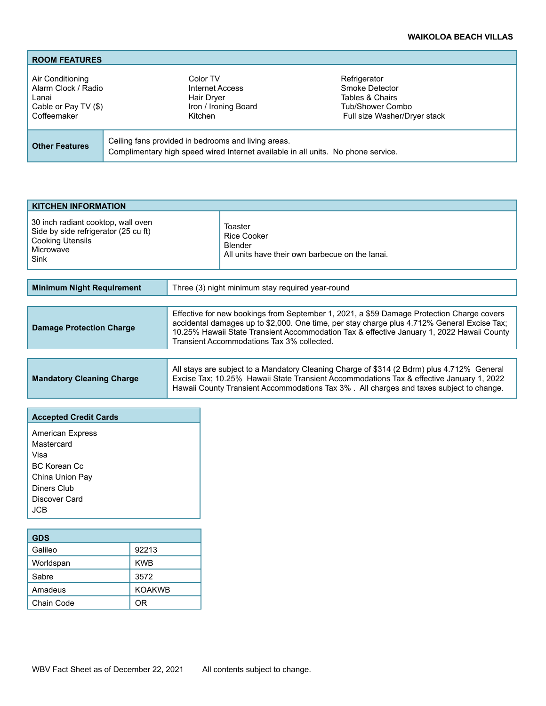## **WAIKOLOA BEACH VILLAS**

| <b>ROOM FEATURES</b>                                                                    |                                                                                                                                          |                                                                                                       |
|-----------------------------------------------------------------------------------------|------------------------------------------------------------------------------------------------------------------------------------------|-------------------------------------------------------------------------------------------------------|
| Air Conditioning<br>Alarm Clock / Radio<br>Lanai<br>Cable or Pay TV (\$)<br>Coffeemaker | Color TV<br>Internet Access<br>Hair Dryer<br>Iron / Ironing Board<br>Kitchen                                                             | Refrigerator<br>Smoke Detector<br>Tables & Chairs<br>Tub/Shower Combo<br>Full size Washer/Dryer stack |
| <b>Other Features</b>                                                                   | Ceiling fans provided in bedrooms and living areas.<br>Complimentary high speed wired Internet available in all units. No phone service. |                                                                                                       |

| <b>KITCHEN INFORMATION</b>                                                                                                 |                                                                                      |  |  |
|----------------------------------------------------------------------------------------------------------------------------|--------------------------------------------------------------------------------------|--|--|
| 30 inch radiant cooktop, wall oven<br>Side by side refrigerator (25 cu ft)<br><b>Cooking Utensils</b><br>Microwave<br>Sink | Toaster<br>Rice Cooker<br>Blender<br>All units have their own barbecue on the lanai. |  |  |

| Three (3) night minimum stay required year-round<br><b>Minimum Night Requirement</b> |                                                                                                                                                                                                                                                                                                                                     |
|--------------------------------------------------------------------------------------|-------------------------------------------------------------------------------------------------------------------------------------------------------------------------------------------------------------------------------------------------------------------------------------------------------------------------------------|
|                                                                                      |                                                                                                                                                                                                                                                                                                                                     |
| <b>Damage Protection Charge</b>                                                      | Effective for new bookings from September 1, 2021, a \$59 Damage Protection Charge covers<br>accidental damages up to \$2,000. One time, per stay charge plus 4.712% General Excise Tax;<br>10.25% Hawaii State Transient Accommodation Tax & effective January 1, 2022 Hawaii County<br>Transient Accommodations Tax 3% collected. |

|                                  | All stays are subject to a Mandatory Cleaning Charge of \$314 (2 Bdrm) plus 4.712% General    |  |
|----------------------------------|-----------------------------------------------------------------------------------------------|--|
| <b>Mandatory Cleaning Charge</b> | Excise Tax; 10.25% Hawaii State Transient Accommodations Tax & effective January 1, 2022      |  |
|                                  | $\,$ Hawaii County Transient Accommodations Tax 3% . All charges and taxes subject to change. |  |

| <b>Accepted Credit Cards</b> |  |  |
|------------------------------|--|--|
| <b>American Express</b>      |  |  |
| Mastercard                   |  |  |
| Visa                         |  |  |
| BC Korean Cc                 |  |  |
| China Union Pay              |  |  |
| Diners Club                  |  |  |
| Discover Card                |  |  |
| JCB.                         |  |  |
|                              |  |  |

| <b>GDS</b> |               |  |
|------------|---------------|--|
| Galileo    | 92213         |  |
| Worldspan  | <b>KWB</b>    |  |
| Sabre      | 3572          |  |
| Amadeus    | <b>KOAKWB</b> |  |
| Chain Code | ∩R            |  |

T